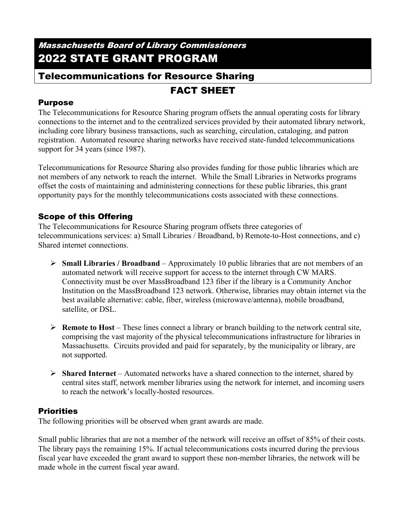## Massachusetts Board of Library Commissioners 2022 STATE GRANT PROGRAM

# Telecommunications for Resource Sharing

## FACT SHEET

## Purpose

The Telecommunications for Resource Sharing program offsets the annual operating costs for library connections to the internet and to the centralized services provided by their automated library network, including core library business transactions, such as searching, circulation, cataloging, and patron registration. Automated resource sharing networks have received state-funded telecommunications support for 34 years (since 1987).

Telecommunications for Resource Sharing also provides funding for those public libraries which are not members of any network to reach the internet. While the Small Libraries in Networks programs offset the costs of maintaining and administering connections for these public libraries, this grant opportunity pays for the monthly telecommunications costs associated with these connections.

## Scope of this Offering

The Telecommunications for Resource Sharing program offsets three categories of telecommunications services: a) Small Libraries / Broadband, b) Remote-to-Host connections, and c) Shared internet connections.

- $\triangleright$  **Small Libraries / Broadband** Approximately 10 public libraries that are not members of an automated network will receive support for access to the internet through CW MARS. Connectivity must be over MassBroadband 123 fiber if the library is a Community Anchor Institution on the MassBroadband 123 network. Otherwise, libraries may obtain internet via the best available alternative: cable, fiber, wireless (microwave/antenna), mobile broadband, satellite, or DSL.
- **Remote to Host** These lines connect a library or branch building to the network central site, comprising the vast majority of the physical telecommunications infrastructure for libraries in Massachusetts. Circuits provided and paid for separately, by the municipality or library, are not supported.
- **Shared Internet** Automated networks have a shared connection to the internet, shared by central sites staff, network member libraries using the network for internet, and incoming users to reach the network's locally-hosted resources.

## **Priorities**

The following priorities will be observed when grant awards are made.

Small public libraries that are not a member of the network will receive an offset of 85% of their costs. The library pays the remaining 15%. If actual telecommunications costs incurred during the previous fiscal year have exceeded the grant award to support these non-member libraries, the network will be made whole in the current fiscal year award.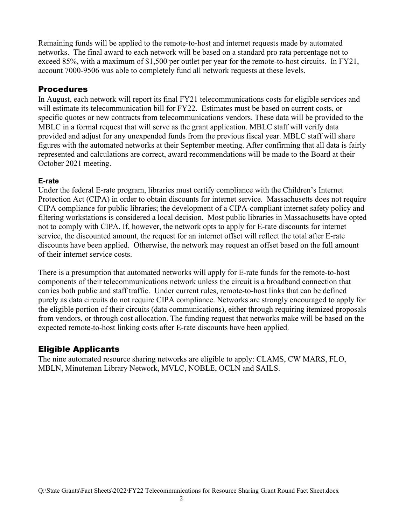Remaining funds will be applied to the remote-to-host and internet requests made by automated networks. The final award to each network will be based on a standard pro rata percentage not to exceed 85%, with a maximum of \$1,500 per outlet per year for the remote-to-host circuits. In FY21, account 7000-9506 was able to completely fund all network requests at these levels.

#### Procedures

In August, each network will report its final FY21 telecommunications costs for eligible services and will estimate its telecommunication bill for FY22. Estimates must be based on current costs, or specific quotes or new contracts from telecommunications vendors. These data will be provided to the MBLC in a formal request that will serve as the grant application. MBLC staff will verify data provided and adjust for any unexpended funds from the previous fiscal year. MBLC staff will share figures with the automated networks at their September meeting. After confirming that all data is fairly represented and calculations are correct, award recommendations will be made to the Board at their October 2021 meeting.

#### **E-rate**

Under the federal E-rate program, libraries must certify compliance with the Children's Internet Protection Act (CIPA) in order to obtain discounts for internet service. Massachusetts does not require CIPA compliance for public libraries; the development of a CIPA-compliant internet safety policy and filtering workstations is considered a local decision. Most public libraries in Massachusetts have opted not to comply with CIPA. If, however, the network opts to apply for E-rate discounts for internet service, the discounted amount, the request for an internet offset will reflect the total after E-rate discounts have been applied. Otherwise, the network may request an offset based on the full amount of their internet service costs.

There is a presumption that automated networks will apply for E-rate funds for the remote-to-host components of their telecommunications network unless the circuit is a broadband connection that carries both public and staff traffic. Under current rules, remote-to-host links that can be defined purely as data circuits do not require CIPA compliance. Networks are strongly encouraged to apply for the eligible portion of their circuits (data communications), either through requiring itemized proposals from vendors, or through cost allocation. The funding request that networks make will be based on the expected remote-to-host linking costs after E-rate discounts have been applied.

#### Eligible Applicants

The nine automated resource sharing networks are eligible to apply: CLAMS, CW MARS, FLO, MBLN, Minuteman Library Network, MVLC, NOBLE, OCLN and SAILS.